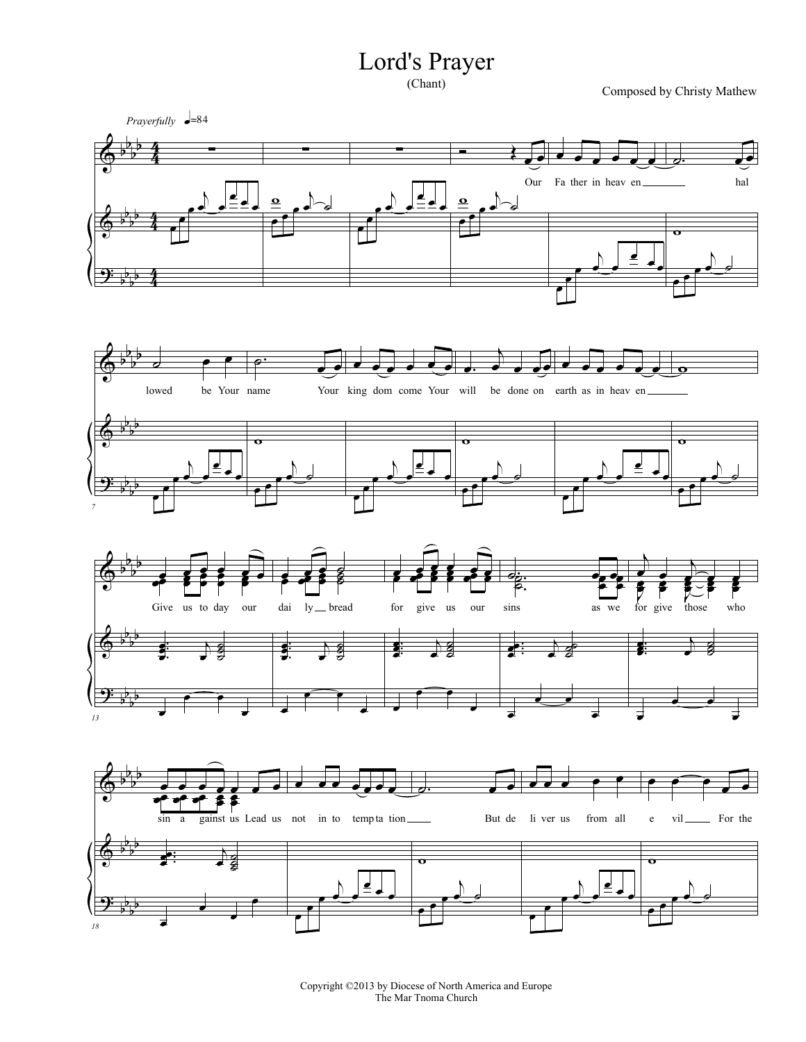## Lord's Prayer

Composed by Christy Mathew



Copyright ©2013 by Diocese of North America and Europe The Mar Tnoma Church